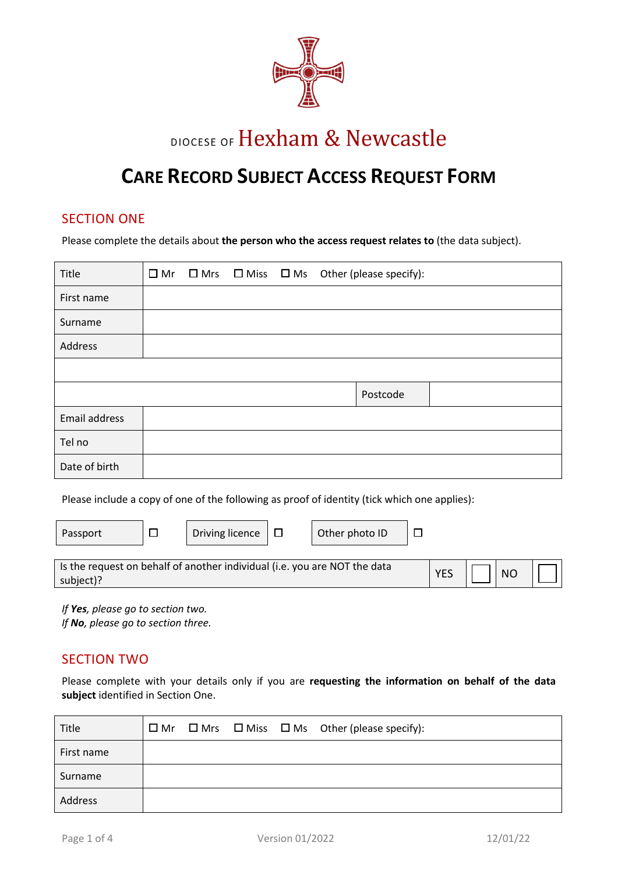

# DIOCESE OF Hexham & Newcastle

## **CARE RECORD SUBJECT ACCESS REQUEST FORM**

## SECTION ONE

Please complete the details about **the person who the access request relates to** (the data subject).

| Title         |  |  | $\Box$ Mr $\Box$ Mrs $\Box$ Miss $\Box$ Ms Other (please specify): |
|---------------|--|--|--------------------------------------------------------------------|
| First name    |  |  |                                                                    |
| Surname       |  |  |                                                                    |
| Address       |  |  |                                                                    |
|               |  |  |                                                                    |
|               |  |  | Postcode                                                           |
| Email address |  |  |                                                                    |
| Tel no        |  |  |                                                                    |
| Date of birth |  |  |                                                                    |

Please include a copy of one of the following as proof of identity (tick which one applies):

| Passport                                                                  |  | Driving licence |  | Other photo ID |                |  |  |
|---------------------------------------------------------------------------|--|-----------------|--|----------------|----------------|--|--|
|                                                                           |  |                 |  |                |                |  |  |
| Is the request on behalf of another individual (i.e. you are NOT the data |  |                 |  |                |                |  |  |
| subject)?                                                                 |  |                 |  | <b>YES</b>     | N <sub>O</sub> |  |  |

*If Yes, please go to section two. If No, please go to section three.* 

## SECTION TWO

Please complete with your details only if you are **requesting the information on behalf of the data subject** identified in Section One.

| Title      |  |  | $\Box$ Mr $\Box$ Mrs $\Box$ Miss $\Box$ Ms Other (please specify): |
|------------|--|--|--------------------------------------------------------------------|
| First name |  |  |                                                                    |
| Surname    |  |  |                                                                    |
| Address    |  |  |                                                                    |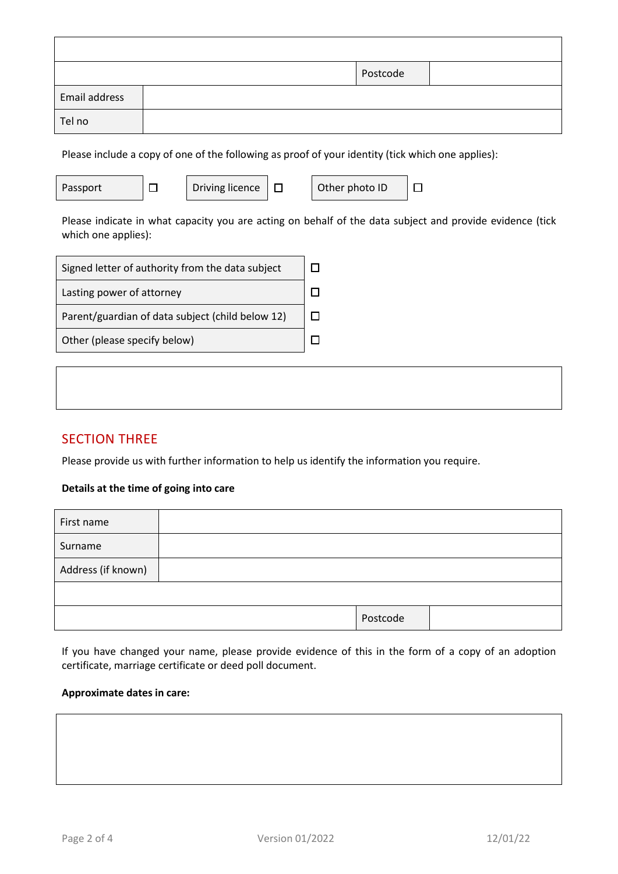|               | Postcode |
|---------------|----------|
| Email address |          |
| Tel no        |          |

Please include a copy of one of the following as proof of your identity (tick which one applies):

| Driving licence | Other photo ID | П. |
|-----------------|----------------|----|
|                 |                |    |

Please indicate in what capacity you are acting on behalf of the data subject and provide evidence (tick which one applies):

| Signed letter of authority from the data subject |  |
|--------------------------------------------------|--|
| Lasting power of attorney                        |  |
| Parent/guardian of data subject (child below 12) |  |
| Other (please specify below)                     |  |

## SECTION THREE

Please provide us with further information to help us identify the information you require.

#### **Details at the time of going into care**

| First name         |          |  |
|--------------------|----------|--|
| Surname            |          |  |
| Address (if known) |          |  |
|                    |          |  |
|                    | Postcode |  |

If you have changed your name, please provide evidence of this in the form of a copy of an adoption certificate, marriage certificate or deed poll document.

#### **Approximate dates in care:**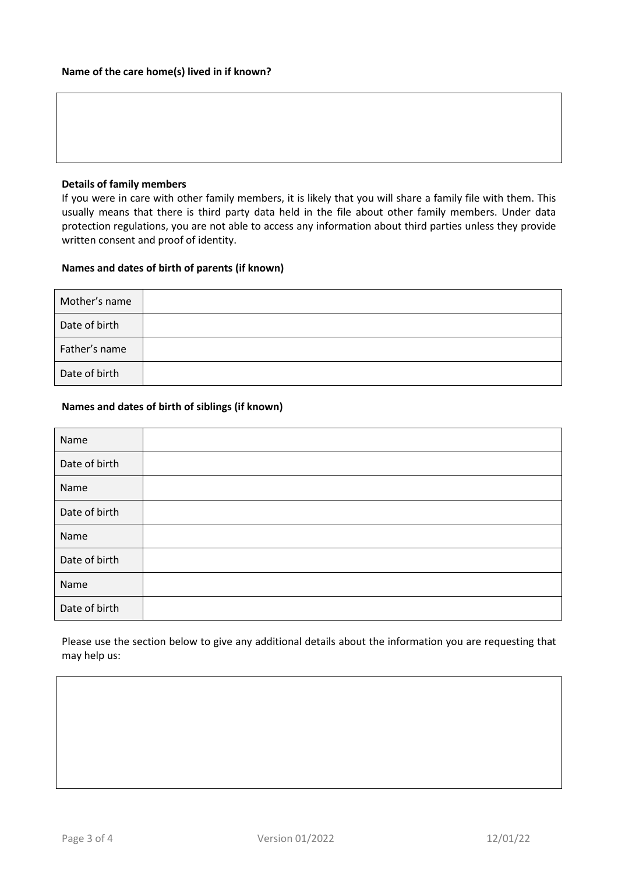#### **Details of family members**

If you were in care with other family members, it is likely that you will share a family file with them. This usually means that there is third party data held in the file about other family members. Under data protection regulations, you are not able to access any information about third parties unless they provide written consent and proof of identity.

#### **Names and dates of birth of parents (if known)**

| Mother's name |  |
|---------------|--|
| Date of birth |  |
| Father's name |  |
| Date of birth |  |

#### **Names and dates of birth of siblings (if known)**

| Name          |  |
|---------------|--|
| Date of birth |  |
| Name          |  |
| Date of birth |  |
| Name          |  |
| Date of birth |  |
| Name          |  |
| Date of birth |  |

Please use the section below to give any additional details about the information you are requesting that may help us: